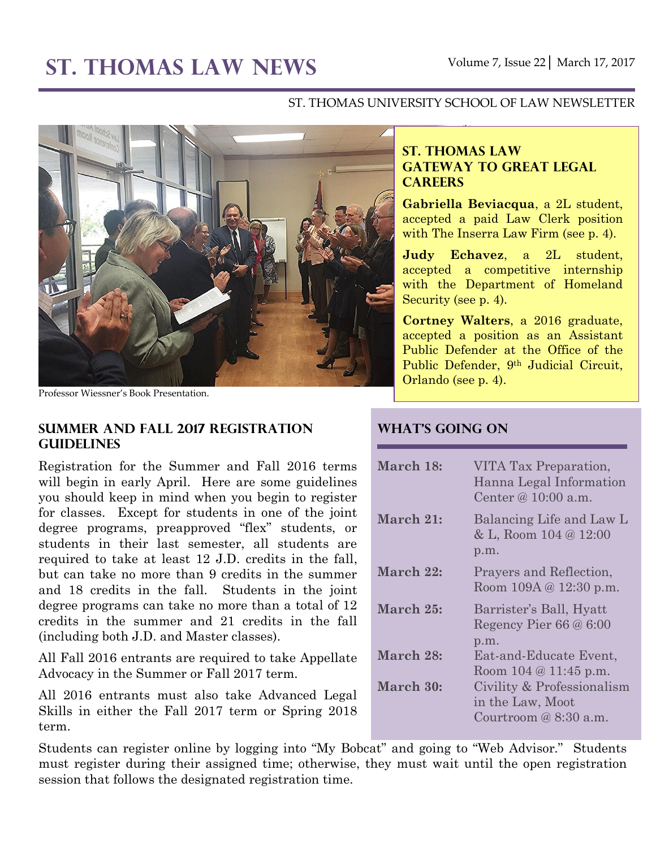# **ST. THOMAS LAW NEWS** Volume 7, Issue 22│ March 17, 2017

#### ST. THOMAS UNIVERSITY SCHOOL OF LAW NEWSLETTER



Professor Wiessner's Book Presentation.

#### **Summer and Fall 2017 Registration Guidelines**

Registration for the Summer and Fall 2016 terms will begin in early April. Here are some guidelines you should keep in mind when you begin to register for classes. Except for students in one of the joint degree programs, preapproved "flex" students, or students in their last semester, all students are required to take at least 12 J.D. credits in the fall, but can take no more than 9 credits in the summer and 18 credits in the fall. Students in the joint degree programs can take no more than a total of 12 credits in the summer and 21 credits in the fall (including both J.D. and Master classes).

All Fall 2016 entrants are required to take Appellate Advocacy in the Summer or Fall 2017 term.

All 2016 entrants must also take Advanced Legal Skills in either the Fall 2017 term or Spring 2018 term.

Students can register online by logging into "My Bobcat" and going to "Web Advisor." Students must register during their assigned time; otherwise, they must wait until the open registration session that follows the designated registration time.

## **ST. THOMAS LAW GATEWAY TO GREAT LEGAL CAREERS**

**Gabriella Beviacqua**, a 2L student, accepted a paid Law Clerk position with The Inserra Law Firm (see p. 4).

**Judy Echavez**, a 2L student, accepted a competitive internship with the Department of Homeland Security (see p. 4).

**Cortney Walters**, a 2016 graduate, accepted a position as an Assistant Public Defender at the Office of the Public Defender, 9th Judicial Circuit, Orlando (see p. 4).

#### **What's Going On**

| March 18: | VITA Tax Preparation,<br>Hanna Legal Information<br>Center @ $10:00$ a.m. |
|-----------|---------------------------------------------------------------------------|
| March 21: | Balancing Life and Law L<br>& L, Room 104 @ 12:00<br>p.m.                 |
| March 22: | Prayers and Reflection,<br>Room 109A @ 12:30 p.m.                         |
| March 25: | Barrister's Ball, Hyatt<br>Regency Pier $66@6:00$<br>p.m.                 |
| March 28: | Eat-and-Educate Event,<br>Room $104 \& 11:45 \text{ p.m.}$                |
| March 30: | Civility & Professionalism<br>in the Law, Moot<br>Courtroom $@8:30$ a.m.  |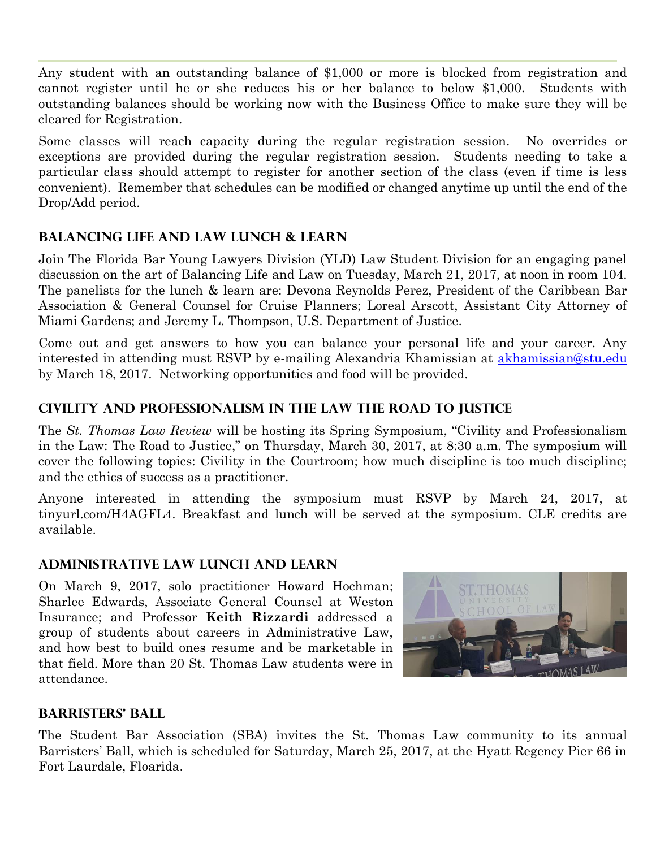Any student with an outstanding balance of \$1,000 or more is blocked from registration and cannot register until he or she reduces his or her balance to below \$1,000. Students with outstanding balances should be working now with the Business Office to make sure they will be cleared for Registration.

Some classes will reach capacity during the regular registration session. No overrides or exceptions are provided during the regular registration session. Students needing to take a particular class should attempt to register for another section of the class (even if time is less convenient). Remember that schedules can be modified or changed anytime up until the end of the Drop/Add period.

## **Balancing Life and Law Lunch & Learn**

Join The Florida Bar Young Lawyers Division (YLD) Law Student Division for an engaging panel discussion on the art of Balancing Life and Law on Tuesday, March 21, 2017, at noon in room 104. The panelists for the lunch & learn are: Devona Reynolds Perez, President of the Caribbean Bar Association & General Counsel for Cruise Planners; Loreal Arscott, Assistant City Attorney of Miami Gardens; and Jeremy L. Thompson, U.S. Department of Justice.

Come out and get answers to how you can balance your personal life and your career. Any interested in attending must RSVP by e-mailing Alexandria Khamissian at [akhamissian@stu.edu](mailto:akhamissian@stu.edu) by March 18, 2017. Networking opportunities and food will be provided.

# **Civility and Professionalism in the Law the Road to Justice**

The *St. Thomas Law Review* will be hosting its Spring Symposium, "Civility and Professionalism in the Law: The Road to Justice," on Thursday, March 30, 2017, at 8:30 a.m. The symposium will cover the following topics: Civility in the Courtroom; how much discipline is too much discipline; and the ethics of success as a practitioner.

Anyone interested in attending the symposium must RSVP by March 24, 2017, at tinyurl.com/H4AGFL4. Breakfast and lunch will be served at the symposium. CLE credits are available.

## **Administrative Law Lunch and Learn**

On March 9, 2017, solo practitioner Howard Hochman; Sharlee Edwards, Associate General Counsel at Weston Insurance; and Professor **Keith Rizzardi** addressed a group of students about careers in Administrative Law, and how best to build ones resume and be marketable in that field. More than 20 St. Thomas Law students were in attendance.



## **Barristers' Ball**

The Student Bar Association (SBA) invites the St. Thomas Law community to its annual Barristers' Ball, which is scheduled for Saturday, March 25, 2017, at the Hyatt Regency Pier 66 in Fort Laurdale, Floarida.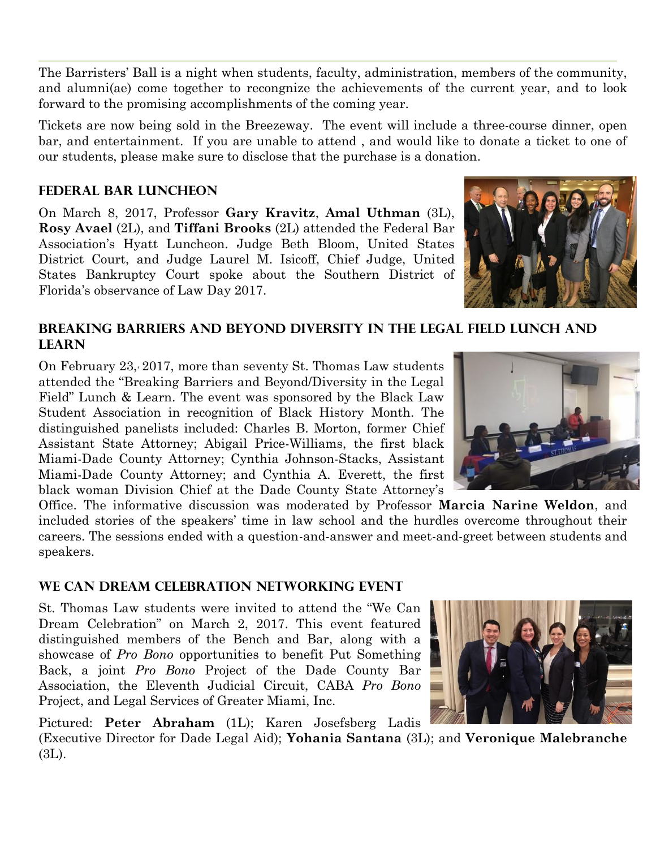The Barristers' Ball is a night when students, faculty, administration, members of the community, and alumni(ae) come together to recongnize the achievements of the current year, and to look forward to the promising accomplishments of the coming year.

Tickets are now being sold in the Breezeway. The event will include a three-course dinner, open bar, and entertainment. If you are unable to attend , and would like to donate a ticket to one of our students, please make sure to disclose that the purchase is a donation.

# **Federal Bar Luncheon**

On March 8, 2017, Professor **Gary Kravitz**, **Amal Uthman** (3L), **Rosy Avael** (2L), and **Tiffani Brooks** (2L) attended the Federal Bar Association's Hyatt Luncheon. Judge Beth Bloom, United States District Court, and Judge Laurel M. Isicoff, Chief Judge, United States Bankruptcy Court spoke about the Southern District of Florida's observance of Law Day 2017.



#### **Breaking Barriers and Beyond Diversity in the Legal Field Lunch and Learn**

On February 23, 2017, more than seventy St. Thomas Law students attended the "Breaking Barriers and Beyond/Diversity in the Legal Field" Lunch & Learn. The event was sponsored by the Black Law Student Association in recognition of Black History Month. The distinguished panelists included: Charles B. Morton, former Chief Assistant State Attorney; Abigail Price-Williams, the first black Miami-Dade County Attorney; Cynthia Johnson-Stacks, Assistant Miami-Dade County Attorney; and Cynthia A. Everett, the first black woman Division Chief at the Dade County State Attorney's

Office. The informative discussion was moderated by Professor **Marcia Narine Weldon**, and included stories of the speakers' time in law school and the hurdles overcome throughout their careers. The sessions ended with a question-and-answer and meet-and-greet between students and speakers.

## **We Can Dream Celebration Networking Event**

St. Thomas Law students were invited to attend the "We Can Dream Celebration" on March 2, 2017. This event featured distinguished members of the Bench and Bar, along with a showcase of *Pro Bono* opportunities to benefit Put Something Back, a joint *Pro Bono* Project of the Dade County Bar Association, the Eleventh Judicial Circuit, CABA *Pro Bono* Project, and Legal Services of Greater Miami, Inc.

Pictured: **Peter Abraham** (1L); Karen Josefsberg Ladis

(Executive Director for Dade Legal Aid); **Yohania Santana** (3L); and **Veronique Malebranche** (3L).